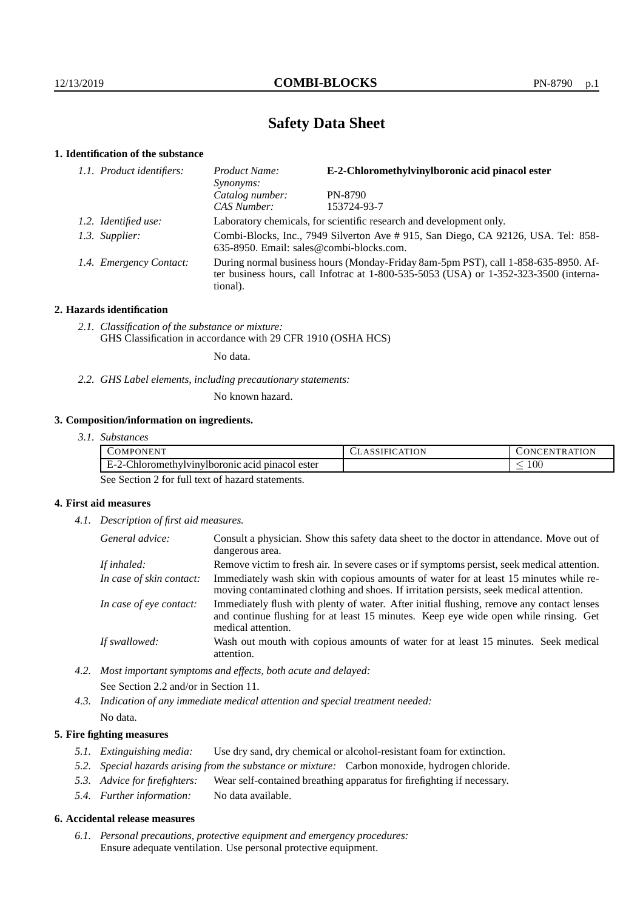# **Safety Data Sheet**

## **1. Identification of the substance**

| 1.1. Product identifiers: | Product Name:<br>Synonyms:                                                                                                                                                              | E-2-Chloromethylvinylboronic acid pinacol ester |
|---------------------------|-----------------------------------------------------------------------------------------------------------------------------------------------------------------------------------------|-------------------------------------------------|
|                           | Catalog number:                                                                                                                                                                         | PN-8790                                         |
|                           | CAS Number:                                                                                                                                                                             | 153724-93-7                                     |
| 1.2. Identified use:      | Laboratory chemicals, for scientific research and development only.                                                                                                                     |                                                 |
| 1.3. Supplier:            | Combi-Blocks, Inc., 7949 Silverton Ave # 915, San Diego, CA 92126, USA. Tel: 858-<br>635-8950. Email: sales@combi-blocks.com.                                                           |                                                 |
| 1.4. Emergency Contact:   | During normal business hours (Monday-Friday 8am-5pm PST), call 1-858-635-8950. Af-<br>ter business hours, call Infotrac at 1-800-535-5053 (USA) or 1-352-323-3500 (interna-<br>tional). |                                                 |

## **2. Hazards identification**

*2.1. Classification of the substance or mixture:* GHS Classification in accordance with 29 CFR 1910 (OSHA HCS)

No data.

*2.2. GHS Label elements, including precautionary statements:*

No known hazard.

## **3. Composition/information on ingredients.**

*3.1. Substances*

| <br>$\mathcal{L}OMPC$<br>ONEN"<br>the contract of the contract of the contract of | ATION | 'ON<br>- EP.<br>TR.<br><b>INI</b> |
|-----------------------------------------------------------------------------------|-------|-----------------------------------|
| $\sim$<br>Chloromethyly invitorious acid $r$<br>. pinacol ester<br>н.,<br>∕ – •   |       | 100 <sub>1</sub>                  |

See Section 2 for full text of hazard statements.

### **4. First aid measures**

*4.1. Description of first aid measures.*

| General advice:          | Consult a physician. Show this safety data sheet to the doctor in attendance. Move out of<br>dangerous area.                                                                                            |
|--------------------------|---------------------------------------------------------------------------------------------------------------------------------------------------------------------------------------------------------|
| If inhaled:              | Remove victim to fresh air. In severe cases or if symptoms persist, seek medical attention.                                                                                                             |
| In case of skin contact: | Immediately wash skin with copious amounts of water for at least 15 minutes while re-<br>moving contaminated clothing and shoes. If irritation persists, seek medical attention.                        |
| In case of eye contact:  | Immediately flush with plenty of water. After initial flushing, remove any contact lenses<br>and continue flushing for at least 15 minutes. Keep eye wide open while rinsing. Get<br>medical attention. |
| If swallowed:            | Wash out mouth with copious amounts of water for at least 15 minutes. Seek medical<br>attention.                                                                                                        |

*4.2. Most important symptoms and effects, both acute and delayed:* See Section 2.2 and/or in Section 11.

*4.3. Indication of any immediate medical attention and special treatment needed:* No data.

## **5. Fire fighting measures**

- *5.1. Extinguishing media:* Use dry sand, dry chemical or alcohol-resistant foam for extinction.
- *5.2. Special hazards arising from the substance or mixture:* Carbon monoxide, hydrogen chloride.
- *5.3. Advice for firefighters:* Wear self-contained breathing apparatus for firefighting if necessary.
- *5.4. Further information:* No data available.

### **6. Accidental release measures**

*6.1. Personal precautions, protective equipment and emergency procedures:* Ensure adequate ventilation. Use personal protective equipment.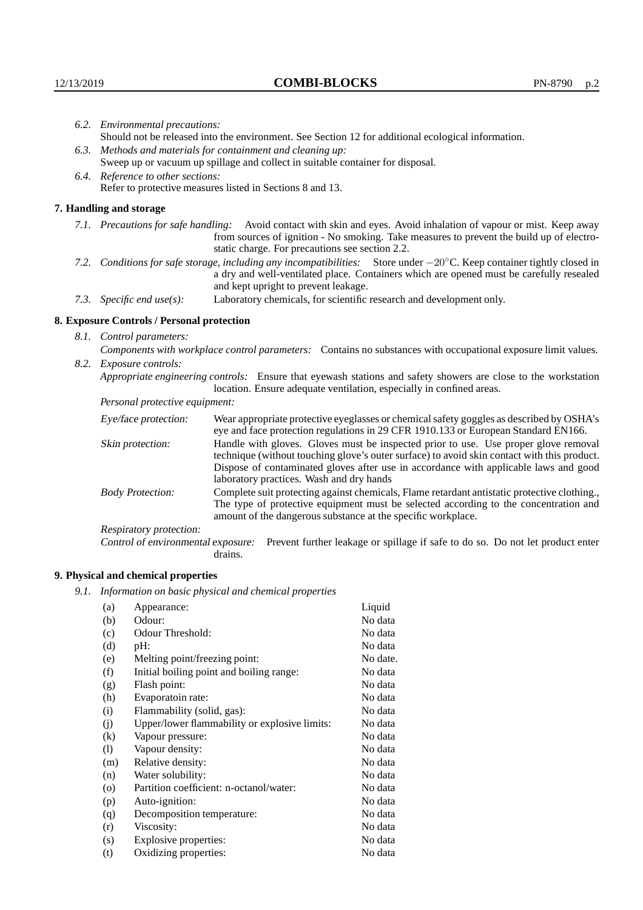|                                                                                                                                  | 6.2. Environmental precautions:                                                                                                                                                        |                                                                                                                                                                                                                                                                            |  |  |  |
|----------------------------------------------------------------------------------------------------------------------------------|----------------------------------------------------------------------------------------------------------------------------------------------------------------------------------------|----------------------------------------------------------------------------------------------------------------------------------------------------------------------------------------------------------------------------------------------------------------------------|--|--|--|
|                                                                                                                                  | Should not be released into the environment. See Section 12 for additional ecological information.                                                                                     |                                                                                                                                                                                                                                                                            |  |  |  |
|                                                                                                                                  | 6.3. Methods and materials for containment and cleaning up:                                                                                                                            |                                                                                                                                                                                                                                                                            |  |  |  |
|                                                                                                                                  | Sweep up or vacuum up spillage and collect in suitable container for disposal.                                                                                                         |                                                                                                                                                                                                                                                                            |  |  |  |
|                                                                                                                                  | 6.4. Reference to other sections:                                                                                                                                                      |                                                                                                                                                                                                                                                                            |  |  |  |
|                                                                                                                                  |                                                                                                                                                                                        | Refer to protective measures listed in Sections 8 and 13.                                                                                                                                                                                                                  |  |  |  |
|                                                                                                                                  | 7. Handling and storage                                                                                                                                                                |                                                                                                                                                                                                                                                                            |  |  |  |
|                                                                                                                                  |                                                                                                                                                                                        | 7.1. Precautions for safe handling: Avoid contact with skin and eyes. Avoid inhalation of vapour or mist. Keep away<br>from sources of ignition - No smoking. Take measures to prevent the build up of electro-<br>static charge. For precautions see section 2.2.         |  |  |  |
| 7.2. Conditions for safe storage, including any incompatibilities: Store under $-20^{\circ}$ C. Keep container tightly closed in |                                                                                                                                                                                        | a dry and well-ventilated place. Containers which are opened must be carefully resealed<br>and kept upright to prevent leakage.                                                                                                                                            |  |  |  |
|                                                                                                                                  | Laboratory chemicals, for scientific research and development only.<br>7.3. Specific end use(s):                                                                                       |                                                                                                                                                                                                                                                                            |  |  |  |
|                                                                                                                                  | 8. Exposure Controls / Personal protection                                                                                                                                             |                                                                                                                                                                                                                                                                            |  |  |  |
|                                                                                                                                  | 8.1. Control parameters:                                                                                                                                                               |                                                                                                                                                                                                                                                                            |  |  |  |
|                                                                                                                                  |                                                                                                                                                                                        | Components with workplace control parameters: Contains no substances with occupational exposure limit values.                                                                                                                                                              |  |  |  |
|                                                                                                                                  | 8.2. Exposure controls:                                                                                                                                                                |                                                                                                                                                                                                                                                                            |  |  |  |
|                                                                                                                                  | Appropriate engineering controls: Ensure that eyewash stations and safety showers are close to the workstation<br>location. Ensure adequate ventilation, especially in confined areas. |                                                                                                                                                                                                                                                                            |  |  |  |
|                                                                                                                                  | Personal protective equipment:                                                                                                                                                         |                                                                                                                                                                                                                                                                            |  |  |  |
|                                                                                                                                  | Eye/face protection:                                                                                                                                                                   | Wear appropriate protective eyeglasses or chemical safety goggles as described by OSHA's<br>eye and face protection regulations in 29 CFR 1910.133 or European Standard EN166.                                                                                             |  |  |  |
|                                                                                                                                  | Skin protection:                                                                                                                                                                       | Handle with gloves. Gloves must be inspected prior to use. Use proper glove removal<br>technique (without touching glove's outer surface) to avoid skin contact with this product.<br>Dispose of contaminated gloves after use in accordance with applicable laws and good |  |  |  |

laboratory practices. Wash and dry hands Body Protection: Complete suit protecting against chemicals, Flame retardant antistatic protective clothing., The type of protective equipment must be selected according to the concentration and amount of the dangerous substance at the specific workplace.

Respiratory protection:

Control of environmental exposure: Prevent further leakage or spillage if safe to do so. Do not let product enter drains.

# **9. Physical and chemical properties**

*9.1. Information on basic physical and chemical properties*

| (a)                        | Appearance:                                   | Liquid   |
|----------------------------|-----------------------------------------------|----------|
| (b)                        | Odour:                                        | No data  |
| (c)                        | Odour Threshold:                              | No data  |
| (d)                        | $pH$ :                                        | No data  |
| (e)                        | Melting point/freezing point:                 | No date. |
| (f)                        | Initial boiling point and boiling range:      | No data  |
| (g)                        | Flash point:                                  | No data  |
| (h)                        | Evaporatoin rate:                             | No data  |
| (i)                        | Flammability (solid, gas):                    | No data  |
| (j)                        | Upper/lower flammability or explosive limits: | No data  |
| $\rm(k)$                   | Vapour pressure:                              | No data  |
| $\left( \mathrm{l}\right)$ | Vapour density:                               | No data  |
| (m)                        | Relative density:                             | No data  |
| (n)                        | Water solubility:                             | No data  |
| $\circ$                    | Partition coefficient: n-octanol/water:       | No data  |
| (p)                        | Auto-ignition:                                | No data  |
| (q)                        | Decomposition temperature:                    | No data  |
| (r)                        | Viscosity:                                    | No data  |
| (s)                        | Explosive properties:                         | No data  |
| (t)                        | Oxidizing properties:                         | No data  |
|                            |                                               |          |